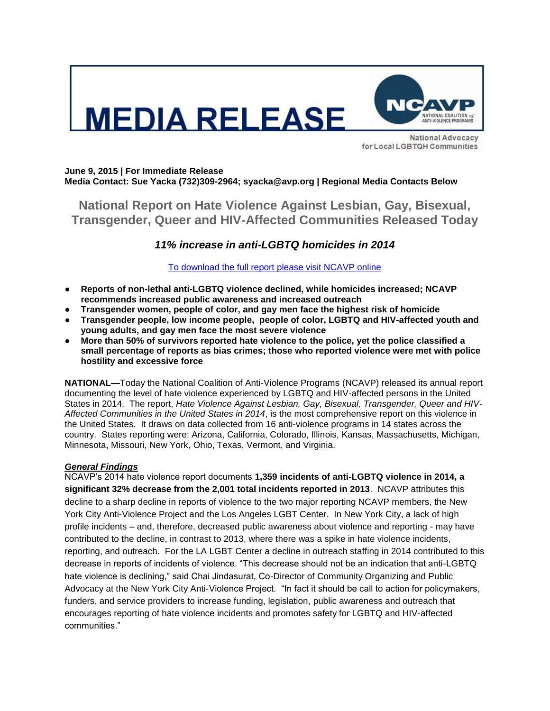

**National Advocacy** for Local LGBTQH Communities

#### **June 9, 2015 | For Immediate Release Media Contact: Sue Yacka (732)309-2964; syacka@avp.org | Regional Media Contacts Below**

**National Report on Hate Violence Against Lesbian, Gay, Bisexual, Transgender, Queer and HIV-Affected Communities Released Today**

# *11% increase in anti-LGBTQ homicides in 2014*

### [To download the full report please visit NCAVP online](http://avp.org/about-avp/national-coalition-of-anti-violence-programs)

- **Reports of non-lethal anti-LGBTQ violence declined, while homicides increased; NCAVP recommends increased public awareness and increased outreach**
- **Transgender women, people of color, and gay men face the highest risk of homicide**
- **Transgender people, low income people, people of color, LGBTQ and HIV-affected youth and young adults, and gay men face the most severe violence**
- **More than 50% of survivors reported hate violence to the police, yet the police classified a small percentage of reports as bias crimes; those who reported violence were met with police hostility and excessive force**

**NATIONAL—**Today the National Coalition of Anti-Violence Programs (NCAVP) released its annual report documenting the level of hate violence experienced by LGBTQ and HIV-affected persons in the United States in 2014. The report, *Hate Violence Against Lesbian, Gay, Bisexual, Transgender, Queer and HIV-Affected Communities in the United States in 2014*, is the most comprehensive report on this violence in the United States. It draws on data collected from 16 anti-violence programs in 14 states across the country. States reporting were: Arizona, California, Colorado, Illinois, Kansas, Massachusetts, Michigan, Minnesota, Missouri, New York, Ohio, Texas, Vermont, and Virginia.

## *General Findings*

NCAVP's 2014 hate violence report documents **1,359 incidents of anti-LGBTQ violence in 2014, a significant 32% decrease from the 2,001 total incidents reported in 2013**. NCAVP attributes this decline to a sharp decline in reports of violence to the two major reporting NCAVP members, the New York City Anti-Violence Project and the Los Angeles LGBT Center. In New York City, a lack of high profile incidents – and, therefore, decreased public awareness about violence and reporting - may have contributed to the decline, in contrast to 2013, where there was a spike in hate violence incidents, reporting, and outreach. For the LA LGBT Center a decline in outreach staffing in 2014 contributed to this decrease in reports of incidents of violence. "This decrease should not be an indication that anti-LGBTQ hate violence is declining," said Chai Jindasurat, Co-Director of Community Organizing and Public Advocacy at the New York City Anti-Violence Project. "In fact it should be call to action for policymakers, funders, and service providers to increase funding, legislation, public awareness and outreach that encourages reporting of hate violence incidents and promotes safety for LGBTQ and HIV-affected communities."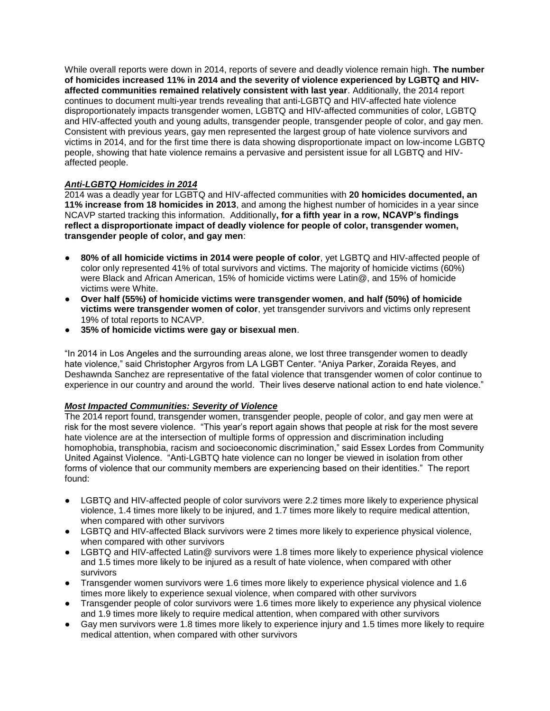While overall reports were down in 2014, reports of severe and deadly violence remain high. **The number of homicides increased 11% in 2014 and the severity of violence experienced by LGBTQ and HIVaffected communities remained relatively consistent with last year**. Additionally, the 2014 report continues to document multi-year trends revealing that anti-LGBTQ and HIV-affected hate violence disproportionately impacts transgender women, LGBTQ and HIV-affected communities of color, LGBTQ and HIV-affected youth and young adults, transgender people, transgender people of color, and gay men. Consistent with previous years, gay men represented the largest group of hate violence survivors and victims in 2014, and for the first time there is data showing disproportionate impact on low-income LGBTQ people, showing that hate violence remains a pervasive and persistent issue for all LGBTQ and HIVaffected people.

### *Anti-LGBTQ Homicides in 2014*

2014 was a deadly year for LGBTQ and HIV-affected communities with **20 homicides documented, an 11% increase from 18 homicides in 2013**, and among the highest number of homicides in a year since NCAVP started tracking this information. Additionally**, for a fifth year in a row, NCAVP's findings reflect a disproportionate impact of deadly violence for people of color, transgender women, transgender people of color, and gay men**:

- 80% of all homicide victims in 2014 were people of color, yet LGBTQ and HIV-affected people of color only represented 41% of total survivors and victims. The majority of homicide victims (60%) were Black and African American, 15% of homicide victims were Latin@, and 15% of homicide victims were White.
- **Over half (55%) of homicide victims were transgender women**, **and half (50%) of homicide victims were transgender women of color**, yet transgender survivors and victims only represent 19% of total reports to NCAVP.
- **35% of homicide victims were gay or bisexual men**.

"In 2014 in Los Angeles and the surrounding areas alone, we lost three transgender women to deadly hate violence," said Christopher Argyros from LA LGBT Center. "Aniya Parker, Zoraida Reyes, and Deshawnda Sanchez are representative of the fatal violence that transgender women of color continue to experience in our country and around the world. Their lives deserve national action to end hate violence."

#### *Most Impacted Communities: Severity of Violence*

The 2014 report found, transgender women, transgender people, people of color, and gay men were at risk for the most severe violence. "This year's report again shows that people at risk for the most severe hate violence are at the intersection of multiple forms of oppression and discrimination including homophobia, transphobia, racism and socioeconomic discrimination," said Essex Lordes from Community United Against Violence. "Anti-LGBTQ hate violence can no longer be viewed in isolation from other forms of violence that our community members are experiencing based on their identities." The report found:

- LGBTQ and HIV-affected people of color survivors were 2.2 times more likely to experience physical violence, 1.4 times more likely to be injured, and 1.7 times more likely to require medical attention, when compared with other survivors
- LGBTQ and HIV-affected Black survivors were 2 times more likely to experience physical violence, when compared with other survivors
- LGBTQ and HIV-affected Latin@ survivors were 1.8 times more likely to experience physical violence and 1.5 times more likely to be injured as a result of hate violence, when compared with other survivors
- Transgender women survivors were 1.6 times more likely to experience physical violence and 1.6 times more likely to experience sexual violence, when compared with other survivors
- Transgender people of color survivors were 1.6 times more likely to experience any physical violence and 1.9 times more likely to require medical attention, when compared with other survivors
- Gay men survivors were 1.8 times more likely to experience injury and 1.5 times more likely to require medical attention, when compared with other survivors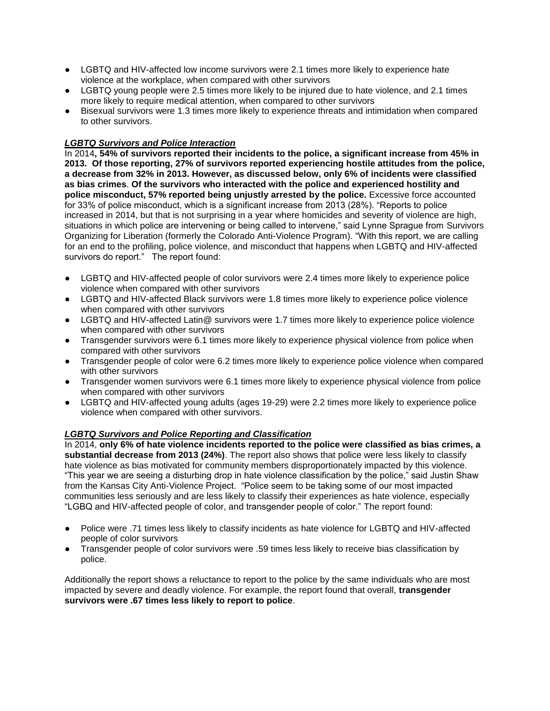- LGBTQ and HIV-affected low income survivors were 2.1 times more likely to experience hate violence at the workplace, when compared with other survivors
- LGBTQ voung people were 2.5 times more likely to be injured due to hate violence, and 2.1 times more likely to require medical attention, when compared to other survivors
- Bisexual survivors were 1.3 times more likely to experience threats and intimidation when compared to other survivors.

### *LGBTQ Survivors and Police Interaction*

In 2014**, 54% of survivors reported their incidents to the police, a significant increase from 45% in 2013. Of those reporting, 27% of survivors reported experiencing hostile attitudes from the police, a decrease from 32% in 2013. However, as discussed below, only 6% of incidents were classified as bias crimes**. **Of the survivors who interacted with the police and experienced hostility and police misconduct, 57% reported being unjustly arrested by the police.** Excessive force accounted for 33% of police misconduct, which is a significant increase from 2013 (28%). "Reports to police increased in 2014, but that is not surprising in a year where homicides and severity of violence are high, situations in which police are intervening or being called to intervene," said Lynne Sprague from Survivors Organizing for Liberation (formerly the Colorado Anti-Violence Program). "With this report, we are calling for an end to the profiling, police violence, and misconduct that happens when LGBTQ and HIV-affected survivors do report." The report found:

- LGBTQ and HIV-affected people of color survivors were 2.4 times more likely to experience police violence when compared with other survivors
- LGBTQ and HIV-affected Black survivors were 1.8 times more likely to experience police violence when compared with other survivors
- LGBTQ and HIV-affected Latin@ survivors were 1.7 times more likely to experience police violence when compared with other survivors
- Transgender survivors were 6.1 times more likely to experience physical violence from police when compared with other survivors
- Transgender people of color were 6.2 times more likely to experience police violence when compared with other survivors
- Transgender women survivors were 6.1 times more likely to experience physical violence from police when compared with other survivors
- LGBTQ and HIV-affected young adults (ages 19-29) were 2.2 times more likely to experience police violence when compared with other survivors.

### *LGBTQ Survivors and Police Reporting and Classification*

In 2014, **only 6% of hate violence incidents reported to the police were classified as bias crimes, a substantial decrease from 2013 (24%)**. The report also shows that police were less likely to classify hate violence as bias motivated for community members disproportionately impacted by this violence. "This year we are seeing a disturbing drop in hate violence classification by the police," said Justin Shaw from the Kansas City Anti-Violence Project. "Police seem to be taking some of our most impacted communities less seriously and are less likely to classify their experiences as hate violence, especially "LGBQ and HIV-affected people of color, and transgender people of color." The report found:

- Police were .71 times less likely to classify incidents as hate violence for LGBTQ and HIV-affected people of color survivors
- Transgender people of color survivors were .59 times less likely to receive bias classification by police.

Additionally the report shows a reluctance to report to the police by the same individuals who are most impacted by severe and deadly violence. For example, the report found that overall, **transgender survivors were .67 times less likely to report to police**.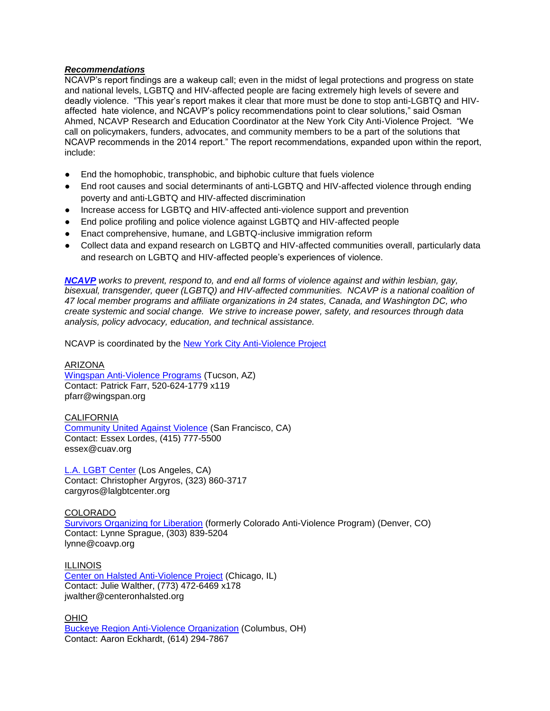#### *Recommendations*

NCAVP's report findings are a wakeup call; even in the midst of legal protections and progress on state and national levels, LGBTQ and HIV-affected people are facing extremely high levels of severe and deadly violence. "This year's report makes it clear that more must be done to stop anti-LGBTQ and HIVaffected hate violence, and NCAVP's policy recommendations point to clear solutions," said Osman Ahmed, NCAVP Research and Education Coordinator at the New York City Anti-Violence Project. "We call on policymakers, funders, advocates, and community members to be a part of the solutions that NCAVP recommends in the 2014 report." The report recommendations, expanded upon within the report, include:

- End the homophobic, transphobic, and biphobic culture that fuels violence
- End root causes and social determinants of anti-LGBTQ and HIV-affected violence through ending poverty and anti-LGBTQ and HIV-affected discrimination
- Increase access for LGBTQ and HIV-affected anti-violence support and prevention
- End police profiling and police violence against LGBTQ and HIV-affected people
- Enact comprehensive, humane, and LGBTQ-inclusive immigration reform
- Collect data and expand research on LGBTQ and HIV-affected communities overall, particularly data and research on LGBTQ and HIV-affected people's experiences of violence.

*[NCAVP](http://www.avp.org/ncavp.htm) works to prevent, respond to, and end all forms of violence against and within lesbian, gay, bisexual, transgender, queer (LGBTQ) and HIV-affected communities. NCAVP is a national coalition of 47 local member programs and affiliate organizations in 24 states, Canada, and Washington DC, who create systemic and social change. We strive to increase power, safety, and resources through data analysis, policy advocacy, education, and technical assistance.* 

NCAVP is coordinated by the [New York City Anti-Violence Project](http://www.avp.org/)

#### ARIZONA

[Wingspan Anti-Violence Programs](http://www.wingspan.org/) (Tucson, AZ) Contact: Patrick Farr, 520-624-1779 x119 pfarr@wingspan.org

#### CALIFORNIA

[Community United Against Violence](http://www.cuav.org/) (San Francisco, CA) Contact: Essex Lordes, (415) 777-5500 essex@cuav.org

[L.A. LGBT](http://www.lagaycenter.org/site/PageServer?pagename=Anti_Violence_Project) [Center](http://www.lagaycenter.org/site/PageServer?pagename=Anti_Violence_Project) (Los Angeles, CA) Contact: Christopher Argyros, (323) 860-3717 cargyros@lalgbtcenter.org

#### **COLORADO**

[Survivors Organizing for Liberation](http://coavp.org/) (formerly Colorado Anti-Violence Program) (Denver, CO) Contact: Lynne Sprague, (303) 839-5204 lynne@coavp.org

ILLINOIS [Center on Halsted Anti-Violence Project](http://www.centeronhalsted.org/) (Chicago, IL) Contact: Julie Walther, (773) 472-6469 x178 jwalther@centeronhalsted.org

OHIO [Buckeye Region Anti-Violence Organization](http://www.bravo-ohio.org/) (Columbus, OH) Contact: Aaron Eckhardt, (614) 294-7867